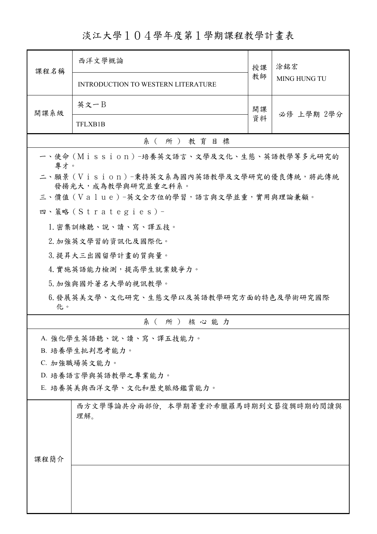淡江大學104學年度第1學期課程教學計畫表

| 課程名稱                                                             | 西洋文學概論                                     | 授課 | 涂銘宏<br><b>MING HUNG TU</b> |  |
|------------------------------------------------------------------|--------------------------------------------|----|----------------------------|--|
|                                                                  | <b>INTRODUCTION TO WESTERN LITERATURE</b>  | 教師 |                            |  |
| 開課系級                                                             | 英文一B                                       | 開課 | 必修 上學期 2學分                 |  |
|                                                                  | TFLXB1B                                    | 資料 |                            |  |
|                                                                  | 系(所)教育目標                                   |    |                            |  |
| 專才。                                                              | 一、使命 (Mission) -培養英文語言、文學及文化、生態、英語教學等多元研究的 |    |                            |  |
| 二、願景 (Vision)-秉持英文系為國內英語教學及文學研究的優良傳統,將此傳統<br>發揚光大, 成為教學與研究並重之科系。 |                                            |    |                            |  |
|                                                                  | 三、價值 (Value)-英文全方位的學習,語言與文學並重,實用與理論兼顧。     |    |                            |  |
|                                                                  | 四、策略 (Strategies) -                        |    |                            |  |
|                                                                  | 1. 密集訓練聽、說、讀、寫、譯五技。                        |    |                            |  |
| 2. 加強英文學習的資訊化及國際化。                                               |                                            |    |                            |  |
|                                                                  | 3. 提昇大三出國留學計畫的質與量。                         |    |                            |  |
|                                                                  | 4. 實施英語能力檢測,提高學生就業競爭力。                     |    |                            |  |
|                                                                  | 5. 加強與國外著名大學的視訊教學。                         |    |                            |  |
| 6.發展英美文學、文化研究、生態文學以及英語教學研究方面的特色及學術研究國際<br>化。                     |                                            |    |                            |  |
|                                                                  | 系(所)核心能力                                   |    |                            |  |
|                                                                  | A. 強化學生英語聽、說、讀、寫、譯五技能力。                    |    |                            |  |
| B. 培養學生批判思考能力。                                                   |                                            |    |                            |  |
| C. 加強職場英文能力。                                                     |                                            |    |                            |  |
| D. 培養語言學與英語教學之專業能力。                                              |                                            |    |                            |  |
| E. 培養英美與西洋文學、文化和歷史脈絡鑑賞能力。                                        |                                            |    |                            |  |
|                                                                  | 西方文學導論共分兩部份,本學期著重於希臘羅馬時期到文藝復興時期的閱讀與<br>理解。 |    |                            |  |
|                                                                  |                                            |    |                            |  |
|                                                                  |                                            |    |                            |  |
| 課程簡介                                                             |                                            |    |                            |  |
|                                                                  |                                            |    |                            |  |
|                                                                  |                                            |    |                            |  |
|                                                                  |                                            |    |                            |  |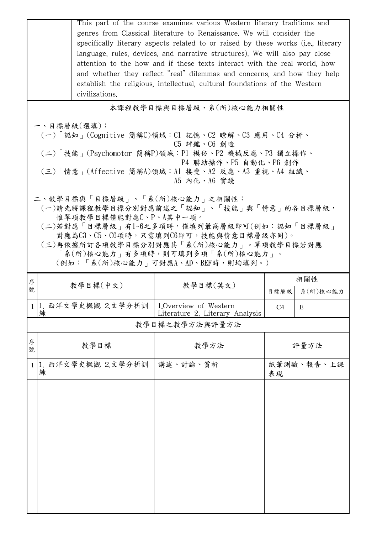|        | This part of the course examines various Western literary traditions and<br>genres from Classical literature to Renaissance. We will consider the<br>specifically literary aspects related to or raised by these works (i.e., literary<br>language, rules, devices, and narrative structures). We will also pay close<br>attention to the how and if these texts interact with the real world, how<br>and whether they reflect "real" dilemmas and concerns, and how they help<br>establish the religious, intellectual, cultural foundations of the Western<br>civilizations. |                      |                                                   |                        |               |  |
|--------|--------------------------------------------------------------------------------------------------------------------------------------------------------------------------------------------------------------------------------------------------------------------------------------------------------------------------------------------------------------------------------------------------------------------------------------------------------------------------------------------------------------------------------------------------------------------------------|----------------------|---------------------------------------------------|------------------------|---------------|--|
|        | 本課程教學目標與目標層級、系(所)核心能力相關性                                                                                                                                                                                                                                                                                                                                                                                                                                                                                                                                                       |                      |                                                   |                        |               |  |
|        | 一、目標層級(選填):<br>(一)「認知」(Cognitive 簡稱C)領域:C1 記憶、C2 瞭解、C3 應用、C4 分析、<br>C5 評鑑、C6 創造<br>(二)「技能 <sub>」</sub> (Psychomotor 簡稱P)領域:P1 模仿、P2 機械反應、P3 獨立操作、<br>P4 聯結操作、P5 自動化、P6 創作<br>(三)「情意」(Affective 簡稱A)領域:Al 接受、A2 反應、A3 重視、A4 組織、<br>A5 内化、A6 實踐                                                                                                                                                                                                                                                                                                                                  |                      |                                                   |                        |               |  |
|        | 二、教學目標與「目標層級」、「系(所)核心能力」之相關性:<br>(一)請先將課程教學目標分別對應前述之「認知」、「技能」與「情意」的各目標層級,<br>惟單項教學目標僅能對應C、P、A其中一項。<br>(二)若對應「目標層級」有1~6之多項時,僅填列最高層級即可(例如:認知「目標層級」<br>對應為C3、C5、C6項時,只需填列C6即可,技能與情意目標層級亦同)。<br>(三)再依據所訂各項教學目標分別對應其「系(所)核心能力」。單項教學目標若對應<br>「系(所)核心能力」有多項時,則可填列多項「系(所)核心能力」。<br>(例如:「系(所)核心能力   可對應A、AD、BEF時,則均填列。)                                                                                                                                                                                                                                                                 |                      |                                                   |                        |               |  |
| 序<br>號 |                                                                                                                                                                                                                                                                                                                                                                                                                                                                                                                                                                                | 教學目標(中文)             | 教學目標(英文)                                          |                        | 相關性           |  |
|        |                                                                                                                                                                                                                                                                                                                                                                                                                                                                                                                                                                                |                      |                                                   |                        |               |  |
|        |                                                                                                                                                                                                                                                                                                                                                                                                                                                                                                                                                                                | 1 1. 西洋文學史概觀 2.文學分析訓 | 1. Overview of Western                            | 目標層級<br>C <sub>4</sub> | 系(所)核心能力<br>E |  |
|        | 練                                                                                                                                                                                                                                                                                                                                                                                                                                                                                                                                                                              |                      | Literature 2. Literary Analysis<br>教學目標之教學方法與評量方法 |                        |               |  |
| 序<br>號 |                                                                                                                                                                                                                                                                                                                                                                                                                                                                                                                                                                                | 教學目標                 | 教學方法                                              |                        | 評量方法          |  |
| 1      | 練                                                                                                                                                                                                                                                                                                                                                                                                                                                                                                                                                                              | 1. 西洋文學史概觀 2.文學分析訓   | 講述、討論、賞析                                          | 表現                     | 紙筆測驗、報告、上課    |  |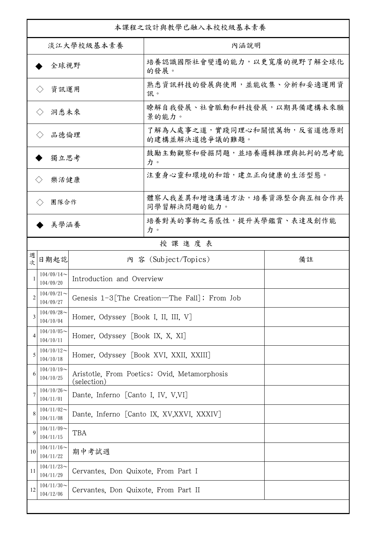| 本課程之設計與教學已融入本校校級基本素養         |                               |                                                             |                                              |    |  |
|------------------------------|-------------------------------|-------------------------------------------------------------|----------------------------------------------|----|--|
| 淡江大學校級基本素養                   |                               |                                                             | 內涵說明                                         |    |  |
| 全球視野                         |                               |                                                             | 培養認識國際社會變遷的能力,以更寬廣的視野了解全球化<br>的發展。           |    |  |
| 資訊運用<br>$\langle \ \rangle$  |                               |                                                             | 熟悉資訊科技的發展與使用,並能收集、分析和妥適運用資<br>訊。             |    |  |
| 洞悉未來<br>$\langle \rangle$    |                               |                                                             | 瞭解自我發展、社會脈動和科技發展,以期具備建構未來願<br>景的能力。          |    |  |
| 品德倫理<br>$\langle \ \rangle$  |                               |                                                             | 了解為人處事之道,實踐同理心和關懷萬物,反省道德原則<br>的建構並解決道德爭議的難題。 |    |  |
| 獨立思考                         |                               |                                                             | 鼓勵主動觀察和發掘問題,並培養邏輯推理與批判的思考能<br>力。             |    |  |
| 樂活健康<br>$\langle \, \rangle$ |                               |                                                             | 注重身心靈和環境的和諧,建立正向健康的生活型態。                     |    |  |
| 團隊合作<br>$\langle \rangle$    |                               |                                                             | 體察人我差異和增進溝通方法,培養資源整合與互相合作共<br>同學習解決問題的能力。    |    |  |
|                              | 美學涵養                          |                                                             | 培養對美的事物之易感性,提升美學鑑賞、表達及創作能<br>力。              |    |  |
|                              |                               |                                                             | 授課進度表                                        |    |  |
| 週<br>欤                       | 日期起訖                          |                                                             | 内 容 (Subject/Topics)                         | 備註 |  |
| 1                            | $104/09/14$ ~<br>104/09/20    | Introduction and Overview                                   |                                              |    |  |
| 2                            | $104/09/21$ ~<br>104/09/27    |                                                             | Genesis 1-3 The Creation—The Fall]; From Job |    |  |
| 3                            | $104/09/28$ ~<br>104/10/04    | Homer, Odyssey [Book I, II, III, V]                         |                                              |    |  |
| $\overline{4}$               | $104/10/05$ ~<br>104/10/11    | Homer, Odyssey [Book IX, X, XI]                             |                                              |    |  |
| 5                            | $104/10/12$ ~<br>104/10/18    | Homer, Odyssey [Book XVI, XXII, XXIII]                      |                                              |    |  |
| 6                            | $104/10/19$ ~<br>104/10/25    | Aristotle, From Poetics; Ovid, Metamorphosis<br>(selection) |                                              |    |  |
| 7                            | $104/10/26 \sim$<br>104/11/01 | Dante, Inferno [Canto I, IV, V,VI]                          |                                              |    |  |
| 8                            | $104/11/02$ ~<br>104/11/08    | Dante, Inferno [Canto IX, XV, XXVI, XXXIV]                  |                                              |    |  |
| 9                            | $104/11/09$ ~<br>104/11/15    | TBA                                                         |                                              |    |  |
| 10                           | $104/11/16$ ~<br>104/11/22    | 期中考試週                                                       |                                              |    |  |
| 11                           | $104/11/23$ ~<br>104/11/29    | Cervantes, Don Quixote, From Part I                         |                                              |    |  |
| 12                           | $104/11/30$ ~<br>104/12/06    | Cervantes, Don Quixote, From Part II                        |                                              |    |  |
|                              |                               |                                                             |                                              |    |  |